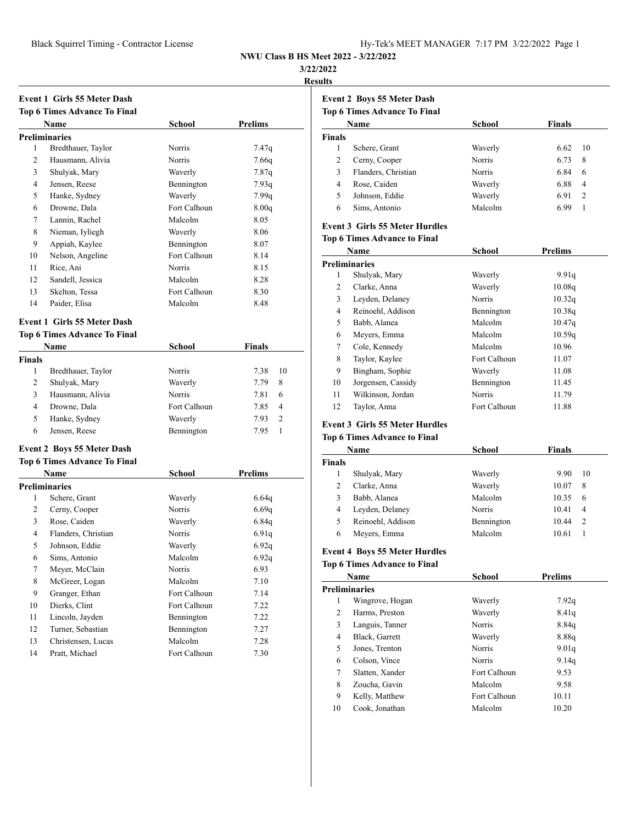#### **3/22/2022**

**Results**

|               | <b>Event 1 Girls 55 Meter Dash</b>  |               |                |
|---------------|-------------------------------------|---------------|----------------|
|               | <b>Top 6 Times Advance To Final</b> |               |                |
|               | Name                                | School        | Prelims        |
|               | <b>Preliminaries</b>                |               |                |
| 1             | Bredthauer, Taylor                  | Norris        | 7.47q          |
| 2             | Hausmann, Alivia                    | Norris        | 7.66q          |
| 3             | Shulyak, Mary                       | Waverly       | 7.87q          |
| 4             | Jensen, Reese                       | Bennington    | 7.93q          |
| 5             | Hanke, Sydney                       | Waverly       | 7.99q          |
| 6             | Drowne, Dala                        | Fort Calhoun  | 8.00q          |
| 7             | Lannin, Rachel                      | Malcolm       | 8.05           |
| 8             | Nieman, Iyliegh                     | Waverly       | 8.06           |
| 9             | Appiah, Kaylee                      | Bennington    | 8.07           |
| 10            | Nelson, Angeline                    | Fort Calhoun  | 8.14           |
| 11            | Rice, Ani                           | <b>Norris</b> | 8.15           |
| 12            | Sandell, Jessica                    | Malcolm       | 8.28           |
| 13            | Skelton, Tessa                      | Fort Calhoun  | 8.30           |
| 14            | Paider, Elisa                       | Malcolm       | 8.48           |
|               | <b>Event 1 Girls 55 Meter Dash</b>  |               |                |
|               | <b>Top 6 Times Advance To Final</b> |               |                |
|               | <b>Name</b>                         | School        | Finals         |
| <b>Finals</b> |                                     |               |                |
| 1             | Bredthauer, Taylor                  | Norris        | 10<br>7.38     |
| 2             | Shulyak, Mary                       | Waverly       | 7.79<br>8      |
| 3             | Hausmann, Alivia                    | Norris        | 7.81<br>6      |
| 4             | Drowne, Dala                        | Fort Calhoun  | 7.85<br>4      |
| 5             | Hanke, Sydney                       | Waverly       | 7.93<br>2      |
| 6             | Jensen, Reese                       | Bennington    | 7.95<br>1      |
|               | <b>Event 2 Boys 55 Meter Dash</b>   |               |                |
|               | <b>Top 6 Times Advance To Final</b> |               |                |
|               | <b>Name</b>                         | School        | <b>Prelims</b> |
|               | <b>Preliminaries</b>                |               |                |
| 1             | Schere, Grant                       | Waverly       | 6.64q          |
| 2             | Cerny, Cooper                       | Norris        | 6.69q          |
| 3             | Rose, Caiden                        | Waverly       | 6.84q          |
| 4             | Flanders, Christian                 | Norris        | 6.91q          |
| 5             | Johnson, Eddie                      | Waverly       | 6.92q          |
| 6             | Sims, Antonio                       | Malcolm       | 6.92q          |
| 7             | Meyer, McClain                      | Norris        | 6.93           |
| 8             | McGreer, Logan                      | Malcolm       | 7.10           |
| 9             | Granger, Ethan                      | Fort Calhoun  | 7.14           |
| 10            | Dierks, Clint                       | Fort Calhoun  | 7.22           |
| 11            | Lincoln, Jayden                     | Bennington    | 7.22           |
| 12            | Turner, Sebastian                   | Bennington    | 7.27           |
| 13            | Christensen, Lucas                  | Malcolm       | 7.28           |
| 14            | Pratt, Michael                      | Fort Calhoun  | 7.30           |

# **Event 2 Boys 55 Meter Dash Top 6 Times Advance To Final**

| Top 6 Times Advance To Final |
|------------------------------|
|------------------------------|

| Name          |                     | School  | <b>Finals</b> |    |
|---------------|---------------------|---------|---------------|----|
| <b>Finals</b> |                     |         |               |    |
|               | Schere, Grant       | Waverly | 6.62          | 10 |
| 2             | Cerny, Cooper       | Norris  | 6.73          | 8  |
| 3             | Flanders, Christian | Norris  | 6.84          | 6  |
| 4             | Rose, Caiden        | Waverly | 6.88          | 4  |
| 5             | Johnson, Eddie      | Waverly | 6.91          | 2  |
| 6             | Sims, Antonio       | Malcolm | 6.99          |    |

## **Event 3 Girls 55 Meter Hurdles**

#### **Top 6 Times Advance to Final**

| Name |                      | <b>School</b> | <b>Prelims</b> |
|------|----------------------|---------------|----------------|
|      | <b>Preliminaries</b> |               |                |
| 1    | Shulyak, Mary        | Waverly       | 9.91q          |
| 2    | Clarke, Anna         | Waverly       | 10.08q         |
| 3    | Leyden, Delaney      | Norris        | 10.32q         |
| 4    | Reinoehl, Addison    | Bennington    | 10.38q         |
| 5    | Babb, Alanea         | Malcolm       | 10.47q         |
| 6    | Meyers, Emma         | Malcolm       | 10.59q         |
| 7    | Cole, Kennedy        | Malcolm       | 10.96          |
| 8    | Taylor, Kaylee       | Fort Calhoun  | 11.07          |
| 9    | Bingham, Sophie      | Waverly       | 11.08          |
| 10   | Jorgensen, Cassidy   | Bennington    | 11.45          |
| 11   | Wilkinson, Jordan    | <b>Norris</b> | 11.79          |
| 12   | Taylor, Anna         | Fort Calhoun  | 11.88          |

## **Event 3 Girls 55 Meter Hurdles**

# **Top 6 Times Advance to Final**

| Name          |                   | <b>School</b> | <b>Finals</b> |                |
|---------------|-------------------|---------------|---------------|----------------|
| <b>Finals</b> |                   |               |               |                |
|               | Shulyak, Mary     | Waverly       | 9.90          | 10             |
| 2             | Clarke, Anna      | Waverly       | 10.07         | 8              |
| 3             | Babb, Alanea      | Malcolm       | 10.35         | 6              |
| 4             | Leyden, Delaney   | <b>Norris</b> | 10.41         | 4              |
| 5             | Reinoehl, Addison | Bennington    | 10.44         | $\overline{2}$ |
| 6             | Meyers, Emma      | Malcolm       | 10.61         |                |

#### **Event 4 Boys 55 Meter Hurdles**

# **Top 6 Times Advance to Final**

| Name |                      | School        | <b>Prelims</b> |
|------|----------------------|---------------|----------------|
|      | <b>Preliminaries</b> |               |                |
| 1    | Wingrove, Hogan      | Waverly       | 7.92q          |
| 2    | Harms, Preston       | Waverly       | 8.41q          |
| 3    | Languis, Tanner      | <b>Norris</b> | 8.84q          |
| 4    | Black, Garrett       | Waverly       | 8.88q          |
| 5    | Jones, Trenton       | <b>Norris</b> | 9.01q          |
| 6    | Colson, Vince        | <b>Norris</b> | 9.14q          |
| 7    | Slatten, Xander      | Fort Calhoun  | 9.53           |
| 8    | Zoucha, Gavin        | Malcolm       | 9.58           |
| 9    | Kelly, Matthew       | Fort Calhoun  | 10.11          |
| 10   | Cook, Jonathan       | Malcolm       | 10.20          |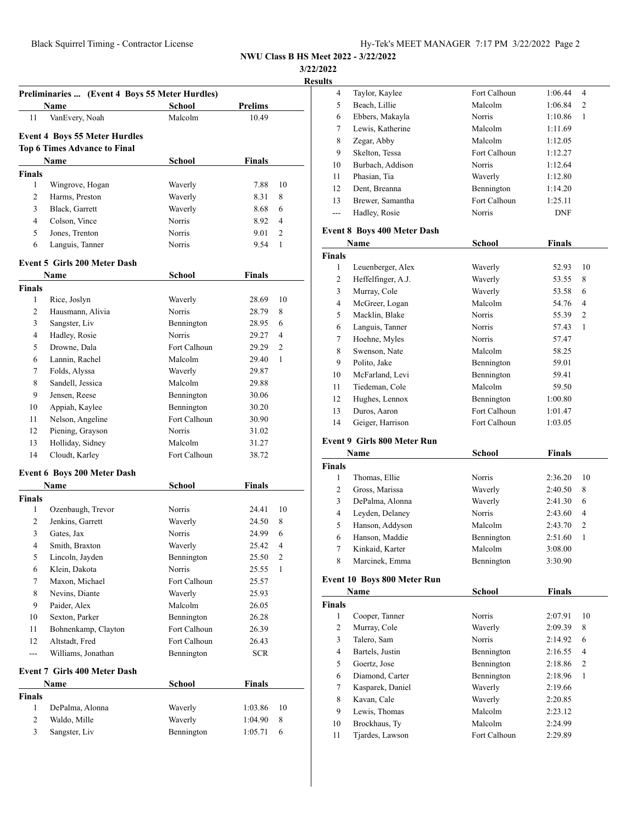**3/22/2022**

**<u>esult</u>** 

|                | Preliminaries  (Event 4 Boys 55 Meter Hurdles)<br>Name | <b>School</b> | <b>Prelims</b> |    |
|----------------|--------------------------------------------------------|---------------|----------------|----|
| 11             | VanEvery, Noah                                         | Malcolm       | 10.49          |    |
|                | <b>Event 4 Boys 55 Meter Hurdles</b>                   |               |                |    |
|                | <b>Top 6 Times Advance to Final</b>                    |               |                |    |
|                | Name                                                   | School        | <b>Finals</b>  |    |
| <b>Finals</b>  |                                                        |               |                |    |
| 1              | Wingrove, Hogan                                        | Waverly       | 7.88           | 10 |
| 2              | Harms, Preston                                         | Waverly       | 8.31           | 8  |
| 3              | Black, Garrett                                         | Waverly       | 8.68           | 6  |
| $\overline{4}$ | Colson, Vince                                          | Norris        | 8.92           | 4  |
| 5              | Jones, Trenton                                         | Norris        | 9.01           | 2  |
| 6              | Languis, Tanner                                        | Norris        | 9.54           | 1  |
|                |                                                        |               |                |    |
|                | <b>Event 5 Girls 200 Meter Dash</b>                    |               |                |    |
|                | Name                                                   | School        | <b>Finals</b>  |    |
| Finals         |                                                        |               |                |    |
| 1              | Rice, Joslyn                                           | Waverly       | 28.69          | 10 |
| 2              | Hausmann, Alivia                                       | Norris        | 28.79          | 8  |
| 3              | Sangster, Liv                                          | Bennington    | 28.95          | 6  |
| $\overline{4}$ | Hadley, Rosie                                          | Norris        | 29.27          | 4  |
| 5              | Drowne, Dala                                           | Fort Calhoun  | 29.29          | 2  |
| 6              | Lannin, Rachel                                         | Malcolm       | 29.40          | 1  |
| 7              | Folds, Alyssa                                          | Waverly       | 29.87          |    |
| 8              | Sandell, Jessica                                       | Malcolm       | 29.88          |    |
| 9              | Jensen, Reese                                          | Bennington    | 30.06          |    |
| 10             | Appiah, Kaylee                                         | Bennington    | 30.20          |    |
| 11             | Nelson, Angeline                                       | Fort Calhoun  | 30.90          |    |
| 12             | Piening, Grayson                                       | Norris        | 31.02          |    |
| 13             | Holliday, Sidney                                       | Malcolm       | 31.27          |    |
| 14             | Cloudt, Karley                                         | Fort Calhoun  | 38.72          |    |
|                | Event 6 Boys 200 Meter Dash                            |               |                |    |
|                | Name                                                   | School        | Finals         |    |
| Finals         |                                                        |               |                |    |
| 1              | Ozenbaugh, Trevor                                      | Norris        | 24.41          | 10 |
| 2              | Jenkins, Garrett                                       | Waverly       | 24.50          | 8  |
| 3              | Gates, Jax                                             | Norris        | 24.99          | 6  |
| 4              | Smith, Braxton                                         | Waverly       | 25.42          | 4  |
| 5              | Lincoln, Jayden                                        | Bennington    | 25.50          | 2  |
| 6              | Klein, Dakota                                          | Norris        | 25.55          | 1  |
| 7              | Maxon, Michael                                         | Fort Calhoun  | 25.57          |    |
| 8              | Nevins, Diante                                         | Waverly       | 25.93          |    |
| 9              | Paider, Alex                                           | Malcolm       | 26.05          |    |
| 10             | Sexton, Parker                                         | Bennington    | 26.28          |    |
| 11             | Bohnenkamp, Clayton                                    | Fort Calhoun  | 26.39          |    |
| 12             | Altstadt, Fred                                         | Fort Calhoun  | 26.43          |    |
| ---            | Williams, Jonathan                                     | Bennington    | <b>SCR</b>     |    |
|                |                                                        |               |                |    |
|                | <b>Event 7 Girls 400 Meter Dash</b>                    |               |                |    |
|                | Name                                                   | School        | <b>Finals</b>  |    |
| Finals         |                                                        |               |                |    |
| 1              | DePalma, Alonna                                        | Waverly       | 1:03.86        | 10 |
|                | Waldo, Mille                                           | Waverly       | 1:04.90        | 8  |
| 2<br>3         | Sangster, Liv                                          | Bennington    |                | 6  |

| ts  |                  |              |            |                |
|-----|------------------|--------------|------------|----------------|
| 4   | Taylor, Kaylee   | Fort Calhoun | 1:06.44    | $\overline{4}$ |
| 5   | Beach, Lillie    | Malcolm      | 1:06.84    | $\overline{2}$ |
| 6   | Ebbers, Makayla  | Norris       | 1:10.86    | 1              |
| 7   | Lewis, Katherine | Malcolm      | 1:11.69    |                |
| 8   | Zegar, Abby      | Malcolm      | 1:12.05    |                |
| 9   | Skelton, Tessa   | Fort Calhoun | 1:12.27    |                |
| 10  | Burbach, Addison | Norris       | 1:12.64    |                |
| 11  | Phasian, Tia     | Waverly      | 1:12.80    |                |
| 12  | Dent, Breanna    | Bennington   | 1:14.20    |                |
| 13  | Brewer, Samantha | Fort Calhoun | 1:25.11    |                |
| $-$ | Hadley, Rosie    | Norris       | <b>DNF</b> |                |
|     |                  |              |            |                |

#### **Event 8 Boys 400 Meter Dash**

| Name          |                    | <b>School</b> | <b>Finals</b> |                |
|---------------|--------------------|---------------|---------------|----------------|
| <b>Finals</b> |                    |               |               |                |
| 1             | Leuenberger, Alex  | Waverly       | 52.93         | 10             |
| 2             | Heffelfinger, A.J. | Waverly       | 53.55         | 8              |
| 3             | Murray, Cole       | Waverly       | 53.58         | 6              |
| 4             | McGreer, Logan     | Malcolm       | 54.76         | 4              |
| 5             | Macklin, Blake     | <b>Norris</b> | 55.39         | $\overline{c}$ |
| 6             | Languis, Tanner    | Norris        | 57.43         | 1              |
| 7             | Hoehne, Myles      | Norris        | 57.47         |                |
| 8             | Swenson, Nate      | Malcolm       | 58.25         |                |
| 9             | Polito, Jake       | Bennington    | 59.01         |                |
| 10            | McFarland, Levi    | Bennington    | 59.41         |                |
| 11            | Tiedeman, Cole     | Malcolm       | 59.50         |                |
| 12            | Hughes, Lennox     | Bennington    | 1:00.80       |                |
| 13            | Duros, Aaron       | Fort Calhoun  | 1:01.47       |                |
| 14            | Geiger, Harrison   | Fort Calhoun  | 1:03.05       |                |

### **Event 9 Girls 800 Meter Run**

| Name          |                 | School        | <b>Finals</b> |                |
|---------------|-----------------|---------------|---------------|----------------|
| <b>Finals</b> |                 |               |               |                |
|               | Thomas, Ellie   | Norris        | 2:36.20       | 10             |
| 2             | Gross, Marissa  | Waverly       | 2:40.50       | 8              |
| 3             | DePalma, Alonna | Waverly       | 2:41.30       | 6              |
| 4             | Leyden, Delaney | <b>Norris</b> | 2:43.60       | $\overline{4}$ |
| 5.            | Hanson, Addyson | Malcolm       | 2:43.70       | 2              |
| 6             | Hanson, Maddie  | Bennington    | 2:51.60       | 1              |
| 7             | Kinkaid, Karter | Malcolm       | 3:08.00       |                |
| 8             | Marcinek, Emma  | Bennington    | 3:30.90       |                |

### **Event 10 Boys 800 Meter Run**

| Name          |                  | <b>School</b> | <b>Finals</b> |                |
|---------------|------------------|---------------|---------------|----------------|
| <b>Finals</b> |                  |               |               |                |
| 1             | Cooper, Tanner   | Norris        | 2:07.91       | 10             |
| 2             | Murray, Cole     | Waverly       | 2:09.39       | 8              |
| 3             | Talero, Sam      | <b>Norris</b> | 2:14.92       | 6              |
| 4             | Bartels, Justin  | Bennington    | 2:16.55       | 4              |
| 5             | Goertz, Jose     | Bennington    | 2:18.86       | $\overline{c}$ |
| 6             | Diamond, Carter  | Bennington    | 2:18.96       | 1              |
| 7             | Kasparek, Daniel | Waverly       | 2:19.66       |                |
| 8             | Kavan, Cale      | Waverly       | 2:20.85       |                |
| 9             | Lewis, Thomas    | Malcolm       | 2:23.12       |                |
| 10            | Brockhaus, Ty    | Malcolm       | 2:24.99       |                |
| 11            | Tjardes, Lawson  | Fort Calhoun  | 2:29.89       |                |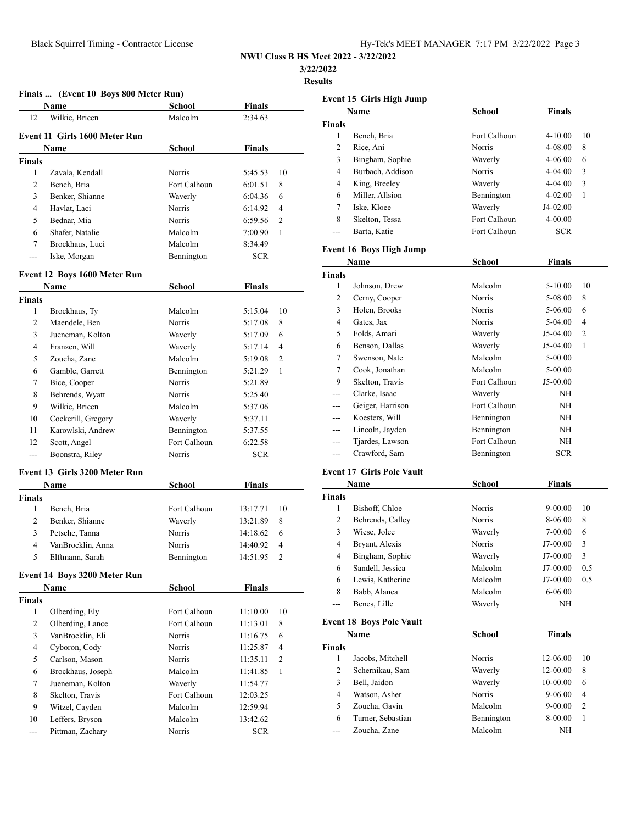**3/22/2022**

**Results**

|                | Finals  (Event 10 Boys 800 Meter Run) |               |               |                |
|----------------|---------------------------------------|---------------|---------------|----------------|
|                | Name                                  | School        | <b>Finals</b> |                |
| 12             | Wilkie, Bricen                        | Malcolm       | 2:34.63       |                |
|                | <b>Event 11 Girls 1600 Meter Run</b>  |               |               |                |
|                | Name                                  | School        | Finals        |                |
| <b>Finals</b>  |                                       |               |               |                |
| 1              | Zavala, Kendall                       | Norris        | 5:45.53       | 10             |
| $\overline{2}$ | Bench, Bria                           | Fort Calhoun  | 6:01.51       | 8              |
| 3              | Benker, Shianne                       | Waverly       | 6:04.36       | 6              |
| 4              | Havlat, Laci                          | Norris        | 6:14.92       | 4              |
| 5              | Bednar, Mia                           | <b>Norris</b> | 6:59.56       | $\overline{2}$ |
| 6              | Shafer, Natalie                       | Malcolm       | 7:00.90       | 1              |
| 7              | Brockhaus, Luci                       | Malcolm       | 8:34.49       |                |
| ---            | Iske, Morgan                          | Bennington    | SCR           |                |
|                |                                       |               |               |                |
|                | Event 12 Boys 1600 Meter Run          |               |               |                |
|                | Name                                  | <b>School</b> | <b>Finals</b> |                |
| <b>Finals</b>  |                                       |               |               |                |
| 1              | Brockhaus, Ty                         | Malcolm       | 5:15.04       | 10             |
| $\overline{c}$ | Maendele, Ben                         | Norris        | 5:17.08       | 8              |
| 3              | Jueneman, Kolton                      | Waverly       | 5:17.09       | 6              |
| 4              | Franzen, Will                         | Waverly       | 5:17.14       | 4              |
| 5              | Zoucha, Zane                          | Malcolm       | 5:19.08       | $\overline{2}$ |
| 6              | Gamble, Garrett                       | Bennington    | 5:21.29       | 1              |
| 7              | Bice, Cooper                          | <b>Norris</b> | 5:21.89       |                |
| 8              | Behrends, Wyatt                       | <b>Norris</b> | 5:25.40       |                |
| 9              | Wilkie, Bricen                        | Malcolm       | 5:37.06       |                |
| 10             | Cockerill, Gregory                    | Waverly       | 5:37.11       |                |
| 11             | Karowlski, Andrew                     | Bennington    | 5:37.55       |                |
| 12             | Scott, Angel                          | Fort Calhoun  | 6:22.58       |                |
| ---            | Boonstra, Riley                       | Norris        | <b>SCR</b>    |                |
|                | Event 13 Girls 3200 Meter Run         |               |               |                |
|                | Name                                  | <b>School</b> | <b>Finals</b> |                |
| <b>Finals</b>  |                                       |               |               |                |
| 1              | Bench, Bria                           | Fort Calhoun  | 13:17.71      | 10             |
| $\overline{c}$ | Benker, Shianne                       | Waverly       | 13:21.89      | 8              |
| 3              | Petsche, Tanna                        | Norris        | 14:18.62      | 6              |
| 4              | VanBrocklin, Anna                     | Norris        | 14:40.92      | 4              |
| 5              | Elftmann, Sarah                       | Bennington    | 14:51.95      | 2              |
|                | Event 14 Boys 3200 Meter Run          |               |               |                |
|                | Name                                  | <b>School</b> | <b>Finals</b> |                |
| <b>Finals</b>  |                                       |               |               |                |
| $\mathbf{1}$   | Olberding, Ely                        | Fort Calhoun  | 11:10.00      | 10             |
| $\overline{2}$ | Olberding, Lance                      | Fort Calhoun  | 11:13.01      | 8              |
| 3              | VanBrocklin, Eli                      | Norris        | 11:16.75      | 6              |
| 4              | Cyboron, Cody                         | Norris        | 11:25.87      | 4              |
| 5              | Carlson, Mason                        | Norris        | 11:35.11      | 2              |
| 6              | Brockhaus, Joseph                     | Malcolm       | 11:41.85      | 1              |
| 7              | Jueneman, Kolton                      | Waverly       | 11:54.77      |                |
| 8              | Skelton, Travis                       | Fort Calhoun  | 12:03.25      |                |
| 9              | Witzel, Cayden                        | Malcolm       | 12:59.94      |                |
| 10             | Leffers, Bryson                       | Malcolm       | 13:42.62      |                |
| ---            | Pittman, Zachary                      | Norris        | <b>SCR</b>    |                |
|                |                                       |               |               |                |

|               | Event 15 Girls High Jump<br>Name | <b>School</b> | <b>Finals</b> |                |
|---------------|----------------------------------|---------------|---------------|----------------|
| <b>Finals</b> |                                  |               |               |                |
| 1             | Bench, Bria                      | Fort Calhoun  | 4-10.00       | 10             |
| 2             | Rice, Ani                        | Norris        | 4-08.00       | 8              |
| 3             | Bingham, Sophie                  | Waverly       | 4-06.00       | 6              |
| 4             | Burbach, Addison                 | Norris        | 4-04.00       | 3              |
| 4             | King, Breeley                    | Waverly       | 4-04.00       | 3              |
| 6             | Miller, Allsion                  | Bennington    | 4-02.00       | 1              |
| 7             | Iske, Kloee                      | Waverly       | J4-02.00      |                |
| 8             | Skelton, Tessa                   | Fort Calhoun  | 4-00.00       |                |
| ---           | Barta, Katie                     | Fort Calhoun  | <b>SCR</b>    |                |
|               |                                  |               |               |                |
|               | <b>Event 16 Boys High Jump</b>   |               |               |                |
|               | Name                             | School        | <b>Finals</b> |                |
| <b>Finals</b> |                                  |               |               |                |
| 1             | Johnson, Drew                    | Malcolm       | 5-10.00       | 10             |
| 2             | Cerny, Cooper                    | Norris        | 5-08.00       | 8              |
| 3             | Holen, Brooks                    | Norris        | 5-06.00       | 6              |
| 4             | Gates, Jax                       | Norris        | 5-04.00       | 4              |
| 5             | Folds, Amari                     | Waverly       | J5-04.00      | 2              |
| 6             | Benson, Dallas                   | Waverly       | J5-04.00      | 1              |
| 7             | Swenson, Nate                    | Malcolm       | 5-00.00       |                |
| 7             | Cook, Jonathan                   | Malcolm       | 5-00.00       |                |
| 9             | Skelton, Travis                  | Fort Calhoun  | J5-00.00      |                |
|               | Clarke, Isaac                    | Waverly       | ΝH            |                |
| ---           | Geiger, Harrison                 | Fort Calhoun  | NH            |                |
| ---           | Koesters, Will                   | Bennington    | NH            |                |
| ---           | Lincoln, Jayden                  | Bennington    | NH            |                |
| $---$         | Tjardes, Lawson                  | Fort Calhoun  | NH            |                |
| ---           | Crawford, Sam                    | Bennington    | SCR           |                |
|               |                                  |               |               |                |
|               | <b>Event 17 Girls Pole Vault</b> |               |               |                |
|               | Name                             | <b>School</b> | <b>Finals</b> |                |
| <b>Finals</b> |                                  |               |               |                |
| 1             | Bishoff, Chloe                   | Norris        | 9-00.00       | 10             |
| 2             | Behrends, Calley                 | Norris        | 8-06.00       | 8              |
| 3             | Wiese, Jolee                     | Waverly       | 7-00.00       | 6              |
| 4             | Bryant, Alexis                   | <b>Norris</b> | J7-00.00      | 3              |
| 4             | Bingham, Sophie                  | Waverly       | J7-00.00      | 3              |
| 6             | Sandell, Jessica                 | Malcolm       | J7-00.00      | 0.5            |
| 6             | Lewis, Katherine                 | Malcolm       | J7-00.00      | 0.5            |
| 8             | Babb, Alanea                     | Malcolm       | 6-06.00       |                |
| ---           | Benes, Lille                     | Waverly       | NΗ            |                |
|               |                                  |               |               |                |
|               | <b>Event 18 Boys Pole Vault</b>  |               |               |                |
|               | Name                             | <b>School</b> | Finals        |                |
| <b>Finals</b> |                                  |               |               |                |
| 1             | Jacobs, Mitchell                 | Norris        | 12-06.00      | 10             |
|               | Schernikau, Sam                  | Waverly       | 12-00.00      | 8              |
| $\mathbf{2}$  | Bell, Jaidon                     | Waverly       | 10-00.00      | 6              |
| 3             |                                  |               | 9-06.00       | 4              |
| 4             | Watson, Asher                    | Norris        |               |                |
| 5             | Zoucha, Gavin                    | Malcolm       | $9 - 00.00$   | $\mathfrak{2}$ |
| 6             | Turner, Sebastian                | Bennington    | 8-00.00       | 1              |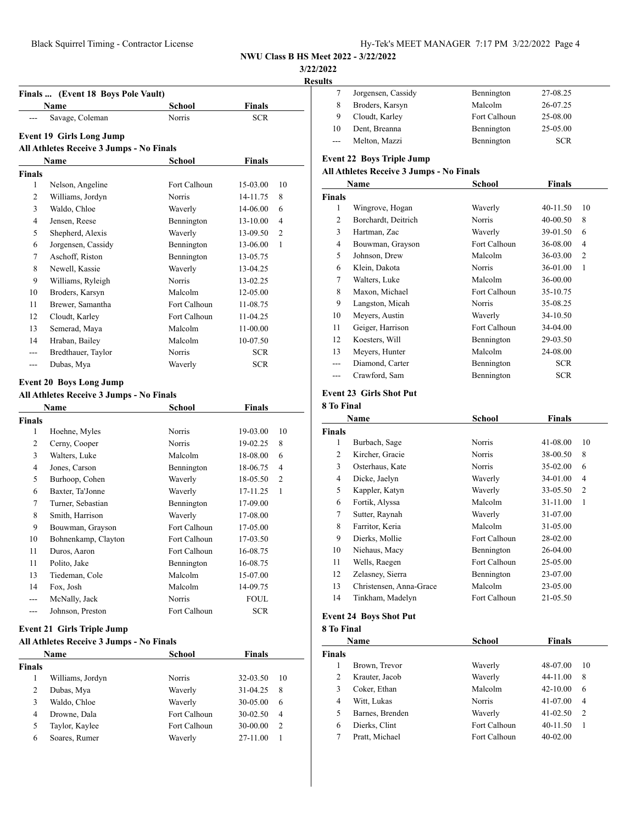**Finals ... (Event 18 Boys Pole Vault)**

**NWU Class B HS Meet 2022 - 3/22/2022**

**3/22/2022**

**Result** 

| lts   |                    |              |            |  |
|-------|--------------------|--------------|------------|--|
|       | Jorgensen, Cassidy | Bennington   | 27-08.25   |  |
|       | Broders, Karsyn    | Malcolm      | 26-07.25   |  |
| 9     | Cloudt, Karley     | Fort Calhoun | 25-08.00   |  |
| 10    | Dent, Breanna      | Bennington   | 25-05.00   |  |
| $---$ | Melton, Mazzi      | Bennington   | <b>SCR</b> |  |
|       |                    |              |            |  |

# **Event 22 Boys Triple Jump**

# **All Athletes Receive 3 Jumps - No Finals**

|               | Name                | School        | Finals       |                |
|---------------|---------------------|---------------|--------------|----------------|
| <b>Finals</b> |                     |               |              |                |
| 1             | Wingrove, Hogan     | Waverly       | $40 - 11.50$ | 10             |
| 2             | Borchardt, Deitrich | <b>Norris</b> | $40 - 00.50$ | 8              |
| 3             | Hartman, Zac        | Waverly       | 39-01.50     | 6              |
| 4             | Bouwman, Grayson    | Fort Calhoun  | 36-08.00     | 4              |
| 5             | Johnson, Drew       | Malcolm       | 36-03.00     | $\overline{2}$ |
| 6             | Klein, Dakota       | <b>Norris</b> | 36-01.00     | 1              |
| 7             | Walters, Luke       | Malcolm       | 36-00.00     |                |
| 8             | Maxon, Michael      | Fort Calhoun  | 35-10.75     |                |
| 9             | Langston, Micah     | <b>Norris</b> | 35-08.25     |                |
| 10            | Meyers, Austin      | Waverly       | 34-10.50     |                |
| 11            | Geiger, Harrison    | Fort Calhoun  | 34-04.00     |                |
| 12            | Koesters, Will      | Bennington    | 29-03.50     |                |
| 13            | Meyers, Hunter      | Malcolm       | 24-08.00     |                |
| ---           | Diamond, Carter     | Bennington    | <b>SCR</b>   |                |
| ---           | Crawford, Sam       | Bennington    | <b>SCR</b>   |                |

# **Event 23 Girls Shot Put**

|  | 8 To Final |
|--|------------|
|  |            |

|               | Name                    | <b>School</b> | <b>Finals</b> |                |
|---------------|-------------------------|---------------|---------------|----------------|
| <b>Finals</b> |                         |               |               |                |
| 1             | Burbach, Sage           | Norris        | 41-08.00      | 10             |
| 2             | Kircher, Gracie         | Norris        | 38-00.50      | 8              |
| 3             | Osterhaus, Kate         | Norris        | 35-02.00      | 6              |
| 4             | Dicke, Jaelyn           | Waverly       | 34-01.00      | $\overline{4}$ |
| 5             | Kappler, Katyn          | Waverly       | 33-05.50      | $\overline{c}$ |
| 6             | Fortik, Alyssa          | Malcolm       | 31-11.00      | 1              |
| 7             | Sutter, Raynah          | Waverly       | 31-07.00      |                |
| 8             | Farritor, Keria         | Malcolm       | 31-05.00      |                |
| 9             | Dierks, Mollie          | Fort Calhoun  | 28-02.00      |                |
| 10            | Niehaus, Macy           | Bennington    | 26-04.00      |                |
| 11            | Wells, Raegen           | Fort Calhoun  | 25-05.00      |                |
| 12            | Zelasney, Sierra        | Bennington    | 23-07.00      |                |
| 13            | Christensen, Anna-Grace | Malcolm       | 23-05.00      |                |
| 14            | Tinkham, Madelyn        | Fort Calhoun  | 21-05.50      |                |

#### **Event 24 Boys Shot Put**

|  | 8 To Final |  |
|--|------------|--|
|  |            |  |

|        | Name            | School       | <b>Finals</b> |                |  |
|--------|-----------------|--------------|---------------|----------------|--|
| Finals |                 |              |               |                |  |
|        | Brown, Trevor   | Waverly      | 48-07.00      | 10             |  |
| 2      | Krauter, Jacob  | Waverly      | 44-11.00      | 8              |  |
| 3      | Coker, Ethan    | Malcolm      | $42 - 10.00$  | 6              |  |
| 4      | Witt, Lukas     | Norris       | 41-07.00      | 4              |  |
| 5      | Barnes, Brenden | Waverly      | $41 - 02.50$  | $\overline{2}$ |  |
| 6      | Dierks, Clint   | Fort Calhoun | $40 - 11.50$  |                |  |
|        | Pratt, Michael  | Fort Calhoun | $40 - 02.00$  |                |  |
|        |                 |              |               |                |  |

|                | <b>Event 19 Girls Long Jump</b>          |               |               |                |
|----------------|------------------------------------------|---------------|---------------|----------------|
|                | All Athletes Receive 3 Jumps - No Finals |               |               |                |
|                | Name                                     | School        | <b>Finals</b> |                |
| <b>Finals</b>  |                                          |               |               |                |
| 1              | Nelson, Angeline                         | Fort Calhoun  | 15-03.00      | 10             |
| 2              | Williams, Jordyn                         | Norris        | 14-11.75      | 8              |
| 3              | Waldo, Chloe                             | Waverly       | 14-06.00      | 6              |
| $\overline{4}$ | Jensen, Reese                            | Bennington    | 13-10.00      | 4              |
| 5              | Shepherd, Alexis                         | Waverly       | 13-09.50      | 2              |
| 6              | Jorgensen, Cassidy                       | Bennington    | 13-06.00      | 1              |
| 7              | Aschoff, Riston                          | Bennington    | 13-05.75      |                |
| 8              | Newell, Kassie                           | Waverly       | 13-04.25      |                |
| 9              | Williams, Ryleigh                        | Norris        | 13-02.25      |                |
| 10             | Broders, Karsyn                          | Malcolm       | 12-05.00      |                |
| 11             | Brewer, Samantha                         | Fort Calhoun  | 11-08.75      |                |
| 12             | Cloudt, Karley                           | Fort Calhoun  | 11-04.25      |                |
| 13             | Semerad, Maya                            | Malcolm       | 11-00.00      |                |
| 14             | Hraban, Bailey                           | Malcolm       | 10-07.50      |                |
| ---            | Bredthauer, Taylor                       | <b>Norris</b> | <b>SCR</b>    |                |
| ---            | Dubas, Mya                               | Waverly       | <b>SCR</b>    |                |
|                | <b>Event 20 Boys Long Jump</b>           |               |               |                |
|                | All Athletes Receive 3 Jumps - No Finals |               |               |                |
|                | <b>Name</b>                              | <b>School</b> | <b>Finals</b> |                |
| <b>Finals</b>  |                                          |               |               |                |
| 1              | Hoehne, Myles                            | Norris        | 19-03.00      | 10             |
| 2              | Cerny, Cooper                            | <b>Norris</b> | 19-02.25      | 8              |
| 3              | Walters, Luke                            | Malcolm       | 18-08.00      | 6              |
| $\overline{4}$ | Jones, Carson                            | Bennington    | 18-06.75      | 4              |
| 5              | Burhoop, Cohen                           | Waverly       | 18-05.50      | $\overline{c}$ |
| 6              | Baxter, Ta'Jonne                         | Waverly       | 17-11.25      | 1              |
| $\overline{7}$ | Turner, Sebastian                        | Bennington    | 17-09.00      |                |
| 8              | Smith, Harrison                          | Waverly       | 17-08.00      |                |
| 9              | Bouwman, Grayson                         | Fort Calhoun  | 17-05.00      |                |
| 10             | Bohnenkamp, Clayton                      | Fort Calhoun  | 17-03.50      |                |
| 11             | Duros, Aaron                             | Fort Calhoun  | 16-08.75      |                |
| 11             | Polito, Jake                             | Bennington    | 16-08.75      |                |
| 13             | Tiedeman, Cole                           | Malcolm       | 15-07.00      |                |
| 14             | Fox, Josh                                | Malcolm       | 14-09.75      |                |
| ---            | McNally, Jack                            | <b>Norris</b> | <b>FOUL</b>   |                |
| ---            | Johnson, Preston                         | Fort Calhoun  | <b>SCR</b>    |                |

**Name School Finals** --- Savage, Coleman Norris Norris SCR

#### **Event 21 Girls Triple Jump**

#### **All Athletes Receive 3 Jumps - No Finals**

|        | <b>Name</b>      | School        | <b>Finals</b> |                |
|--------|------------------|---------------|---------------|----------------|
| Finals |                  |               |               |                |
|        | Williams, Jordyn | <b>Norris</b> | 32-03.50      | 10             |
| 2      | Dubas, Mya       | Waverly       | 31-04.25      | 8              |
| 3      | Waldo, Chloe     | Waverly       | 30-05.00      | 6              |
| 4      | Drowne, Dala     | Fort Calhoun  | 30-02.50      | 4              |
| 5      | Taylor, Kaylee   | Fort Calhoun  | 30-00.00      | $\overline{2}$ |
| 6      | Soares, Rumer    | Waverly       | 27-11.00      |                |
|        |                  |               |               |                |